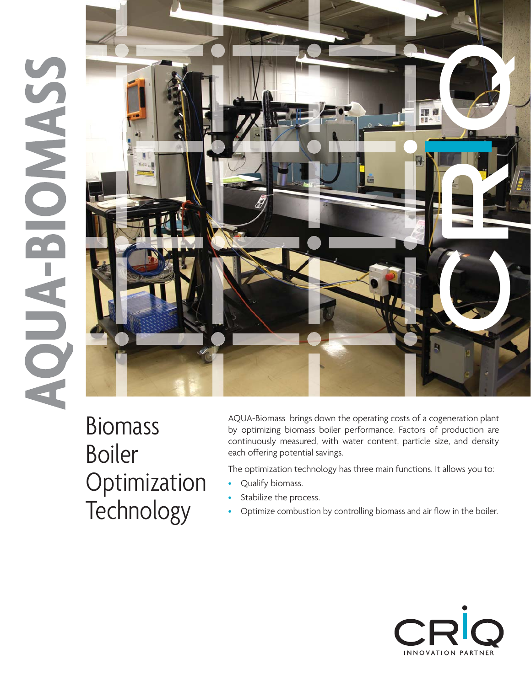# SSACHE-BIONASS



Biomass<br>Boiler Optimization Technology Technology

AQUA-Biomass brings down the operating costs of a cogeneration plant by optimizing biomass boiler performance. Factors of production are continuously measured, with water content, particle size, and density each offering potential savings.

The optimization technology has three main functions. It allows you to:

- Qualify biomass.
- Stabilize the process.
- Optimize combustion by controlling biomass and air flow in the boiler.